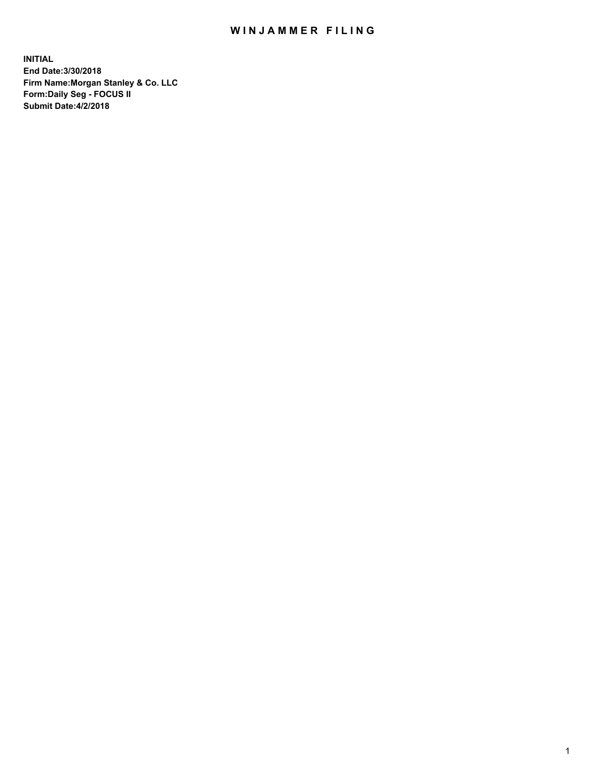## WIN JAMMER FILING

**INITIAL End Date:3/30/2018 Firm Name:Morgan Stanley & Co. LLC Form:Daily Seg - FOCUS II Submit Date:4/2/2018**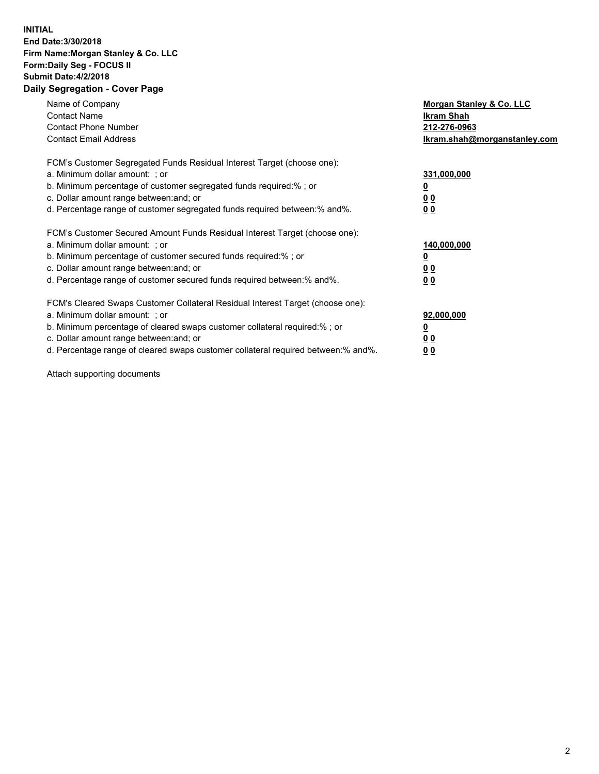## **INITIAL End Date:3/30/2018 Firm Name:Morgan Stanley & Co. LLC Form:Daily Seg - FOCUS II Submit Date:4/2/2018 Daily Segregation - Cover Page**

| Name of Company<br><b>Contact Name</b><br><b>Contact Phone Number</b><br><b>Contact Email Address</b>                                                                                                                                                                                                                          | Morgan Stanley & Co. LLC<br>Ikram Shah<br>212-276-0963<br>lkram.shah@morganstanley.com |
|--------------------------------------------------------------------------------------------------------------------------------------------------------------------------------------------------------------------------------------------------------------------------------------------------------------------------------|----------------------------------------------------------------------------------------|
| FCM's Customer Segregated Funds Residual Interest Target (choose one):<br>a. Minimum dollar amount: ; or<br>b. Minimum percentage of customer segregated funds required:%; or<br>c. Dollar amount range between: and; or<br>d. Percentage range of customer segregated funds required between: % and %.                        | 331,000,000<br>0 <sub>0</sub><br>00                                                    |
| FCM's Customer Secured Amount Funds Residual Interest Target (choose one):<br>a. Minimum dollar amount: ; or<br>b. Minimum percentage of customer secured funds required:%; or<br>c. Dollar amount range between: and; or<br>d. Percentage range of customer secured funds required between:% and%.                            | 140,000,000<br>0 <sub>0</sub><br>0 <sub>0</sub>                                        |
| FCM's Cleared Swaps Customer Collateral Residual Interest Target (choose one):<br>a. Minimum dollar amount: ; or<br>b. Minimum percentage of cleared swaps customer collateral required:% ; or<br>c. Dollar amount range between: and; or<br>d. Percentage range of cleared swaps customer collateral required between:% and%. | 92,000,000<br>0 <sub>0</sub><br>0 <sub>0</sub>                                         |

Attach supporting documents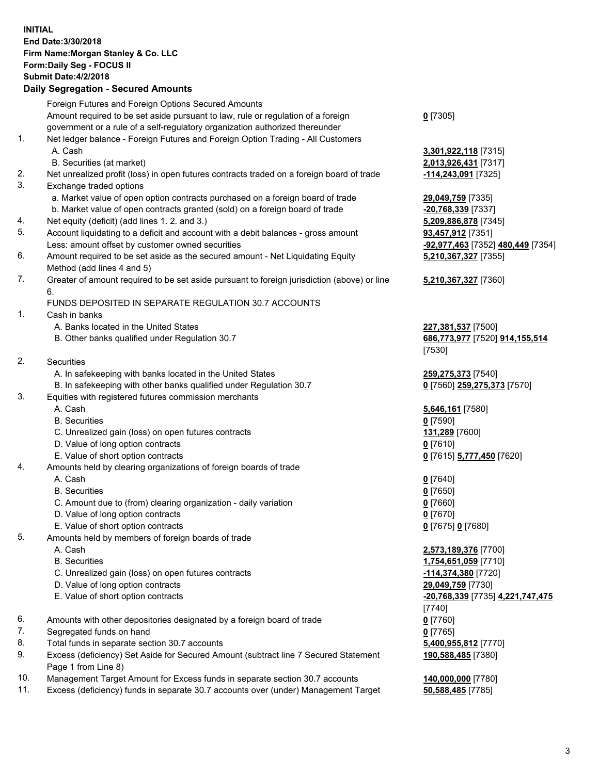## **INITIAL End Date:3/30/2018 Firm Name:Morgan Stanley & Co. LLC Form:Daily Seg - FOCUS II Submit Date:4/2/2018**

## **Daily Segregation - Secured Amounts**

|     | Foreign Futures and Foreign Options Secured Amounts                                                |                                                |
|-----|----------------------------------------------------------------------------------------------------|------------------------------------------------|
|     | Amount required to be set aside pursuant to law, rule or regulation of a foreign                   | $0$ [7305]                                     |
|     | government or a rule of a self-regulatory organization authorized thereunder                       |                                                |
| 1.  | Net ledger balance - Foreign Futures and Foreign Option Trading - All Customers                    |                                                |
|     | A. Cash                                                                                            | 3,301,922,118 [7315]                           |
|     | B. Securities (at market)                                                                          | 2,013,926,431 [7317]                           |
| 2.  | Net unrealized profit (loss) in open futures contracts traded on a foreign board of trade          | <u>-114,243,091</u> [7325]                     |
| 3.  | Exchange traded options                                                                            |                                                |
|     | a. Market value of open option contracts purchased on a foreign board of trade                     | 29,049,759 [7335]                              |
|     | b. Market value of open contracts granted (sold) on a foreign board of trade                       | -20,768,339 [7337]                             |
| 4.  | Net equity (deficit) (add lines 1.2. and 3.)                                                       | 5,209,886,878 [7345]                           |
| 5.  | Account liquidating to a deficit and account with a debit balances - gross amount                  | 93,457,912 [7351]                              |
|     | Less: amount offset by customer owned securities                                                   | <mark>-92,977,463</mark> [7352] 480,449 [7354] |
| 6.  | Amount required to be set aside as the secured amount - Net Liquidating Equity                     | 5,210,367,327 [7355]                           |
|     | Method (add lines 4 and 5)                                                                         |                                                |
| 7.  | Greater of amount required to be set aside pursuant to foreign jurisdiction (above) or line        | 5,210,367,327 [7360]                           |
|     | 6.<br>FUNDS DEPOSITED IN SEPARATE REGULATION 30.7 ACCOUNTS                                         |                                                |
| 1.  | Cash in banks                                                                                      |                                                |
|     | A. Banks located in the United States                                                              | 227,381,537 [7500]                             |
|     | B. Other banks qualified under Regulation 30.7                                                     | 686,773,977 [7520] 914,155,514                 |
|     |                                                                                                    | [7530]                                         |
| 2.  | Securities                                                                                         |                                                |
|     | A. In safekeeping with banks located in the United States                                          | 259,275,373 [7540]                             |
|     | B. In safekeeping with other banks qualified under Regulation 30.7                                 | 0 [7560] 259,275,373 [7570]                    |
| 3.  | Equities with registered futures commission merchants                                              |                                                |
|     | A. Cash                                                                                            | 5,646,161 [7580]                               |
|     | <b>B.</b> Securities                                                                               | $0$ [7590]                                     |
|     | C. Unrealized gain (loss) on open futures contracts                                                | 131,289 [7600]                                 |
|     | D. Value of long option contracts                                                                  | $0$ [7610]                                     |
|     | E. Value of short option contracts                                                                 | 0 [7615] 5,777,450 [7620]                      |
| 4.  | Amounts held by clearing organizations of foreign boards of trade                                  |                                                |
|     | A. Cash                                                                                            | $0$ [7640]                                     |
|     | <b>B.</b> Securities                                                                               | $0$ [7650]                                     |
|     | C. Amount due to (from) clearing organization - daily variation                                    | $0$ [7660]                                     |
|     | D. Value of long option contracts                                                                  | $0$ [7670]                                     |
|     | E. Value of short option contracts                                                                 | 0 [7675] 0 [7680]                              |
| 5.  | Amounts held by members of foreign boards of trade                                                 |                                                |
|     | A. Cash                                                                                            | 2,573,189,376 [7700]                           |
|     | <b>B.</b> Securities                                                                               | 1,754,651,059 [7710]                           |
|     | C. Unrealized gain (loss) on open futures contracts                                                | <u>-114,374,380</u> [7720]                     |
|     | D. Value of long option contracts                                                                  | 29,049,759 [7730]                              |
|     | E. Value of short option contracts                                                                 | <u>-20,768,339</u> [7735] 4,221,747,475        |
|     |                                                                                                    | [7740]                                         |
| 6.  | Amounts with other depositories designated by a foreign board of trade                             | $0$ [7760]                                     |
| 7.  | Segregated funds on hand                                                                           | $0$ [7765]                                     |
| 8.  | Total funds in separate section 30.7 accounts                                                      | 5,400,955,812 [7770]                           |
| 9.  | Excess (deficiency) Set Aside for Secured Amount (subtract line 7 Secured Statement                | 190,588,485 [7380]                             |
| 10. | Page 1 from Line 8)<br>Management Target Amount for Excess funds in senarate section 30.7 accounts | 140 000 000 [7780]                             |
|     |                                                                                                    |                                                |

- 10. Management Target Amount for Excess funds in separate section 30.7 accounts **140,000,000** [7780]<br>11. Excess (deficiency) funds in separate 30.7 accounts over (under) Management Target **50,588,485** [7785]
- 11. Excess (deficiency) funds in separate 30.7 accounts over (under) Management Target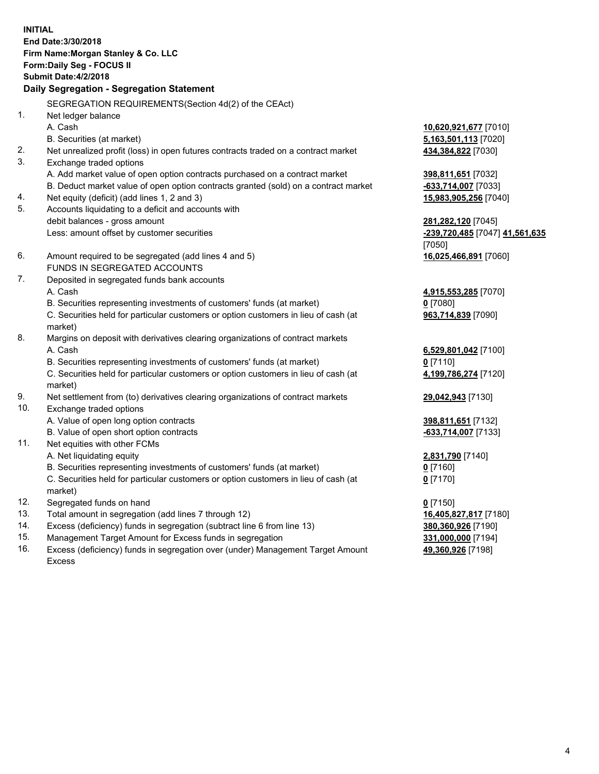**INITIAL End Date:3/30/2018 Firm Name:Morgan Stanley & Co. LLC Form:Daily Seg - FOCUS II Submit Date:4/2/2018 Daily Segregation - Segregation Statement** SEGREGATION REQUIREMENTS(Section 4d(2) of the CEAct) 1. Net ledger balance A. Cash **10,620,921,677** [7010] B. Securities (at market) **5,163,501,113** [7020] 2. Net unrealized profit (loss) in open futures contracts traded on a contract market **434,384,822** [7030] 3. Exchange traded options A. Add market value of open option contracts purchased on a contract market **398,811,651** [7032] B. Deduct market value of open option contracts granted (sold) on a contract market **-633,714,007** [7033] 4. Net equity (deficit) (add lines 1, 2 and 3) **15,983,905,256** [7040] 5. Accounts liquidating to a deficit and accounts with debit balances - gross amount **281,282,120** [7045] Less: amount offset by customer securities **-239,720,485** [7047] **41,561,635** [7050] 6. Amount required to be segregated (add lines 4 and 5) **16,025,466,891** [7060] FUNDS IN SEGREGATED ACCOUNTS 7. Deposited in segregated funds bank accounts A. Cash **4,915,553,285** [7070] B. Securities representing investments of customers' funds (at market) **0** [7080] C. Securities held for particular customers or option customers in lieu of cash (at market) **963,714,839** [7090] 8. Margins on deposit with derivatives clearing organizations of contract markets A. Cash **6,529,801,042** [7100] B. Securities representing investments of customers' funds (at market) **0** [7110] C. Securities held for particular customers or option customers in lieu of cash (at market) **4,199,786,274** [7120] 9. Net settlement from (to) derivatives clearing organizations of contract markets **29,042,943** [7130] 10. Exchange traded options A. Value of open long option contracts **398,811,651** [7132] B. Value of open short option contracts **-633,714,007** [7133] 11. Net equities with other FCMs A. Net liquidating equity **2,831,790** [7140] B. Securities representing investments of customers' funds (at market) **0** [7160] C. Securities held for particular customers or option customers in lieu of cash (at market) **0** [7170] 12. Segregated funds on hand **0** [7150] 13. Total amount in segregation (add lines 7 through 12) **16,405,827,817** [7180] 14. Excess (deficiency) funds in segregation (subtract line 6 from line 13) **380,360,926** [7190]

- 15. Management Target Amount for Excess funds in segregation **331,000,000** [7194]
- 16. Excess (deficiency) funds in segregation over (under) Management Target Amount Excess

**49,360,926** [7198]